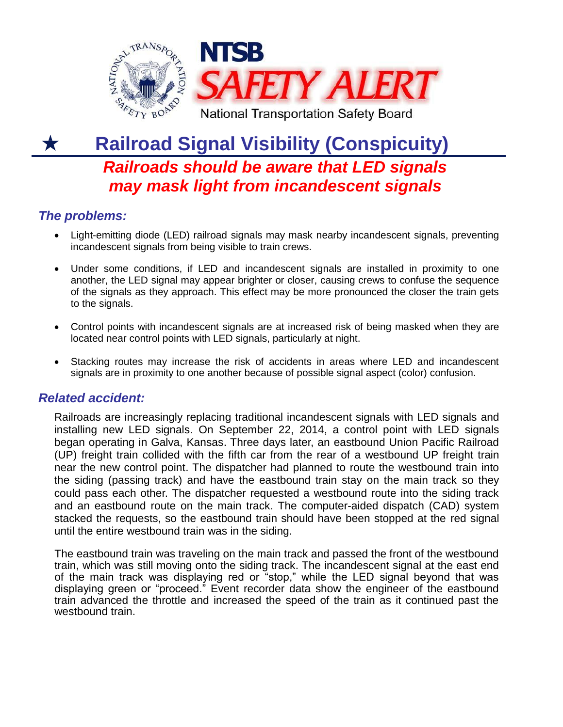

## **Railroad Signal Visibility (Conspicuity)** K *Railroads should be aware that LED signals may mask light from incandescent signals*

## *The problems:*

- Light-emitting diode (LED) railroad signals may mask nearby incandescent signals, preventing incandescent signals from being visible to train crews.
- Under some conditions, if LED and incandescent signals are installed in proximity to one another, the LED signal may appear brighter or closer, causing crews to confuse the sequence of the signals as they approach. This effect may be more pronounced the closer the train gets to the signals.
- Control points with incandescent signals are at increased risk of being masked when they are located near control points with LED signals, particularly at night.
- Stacking routes may increase the risk of accidents in areas where LED and incandescent signals are in proximity to one another because of possible signal aspect (color) confusion.

## *Related accident:*

Railroads are increasingly replacing traditional incandescent signals with LED signals and installing new LED signals. On September 22, 2014, a control point with LED signals began operating in Galva, Kansas. Three days later, an eastbound Union Pacific Railroad (UP) freight train collided with the fifth car from the rear of a westbound UP freight train near the new control point. The dispatcher had planned to route the westbound train into the siding (passing track) and have the eastbound train stay on the main track so they could pass each other. The dispatcher requested a westbound route into the siding track and an eastbound route on the main track. The computer-aided dispatch (CAD) system stacked the requests, so the eastbound train should have been stopped at the red signal until the entire westbound train was in the siding.

The eastbound train was traveling on the main track and passed the front of the westbound train, which was still moving onto the siding track. The incandescent signal at the east end of the main track was displaying red or "stop," while the LED signal beyond that was displaying green or "proceed." Event recorder data show the engineer of the eastbound train advanced the throttle and increased the speed of the train as it continued past the westbound train.